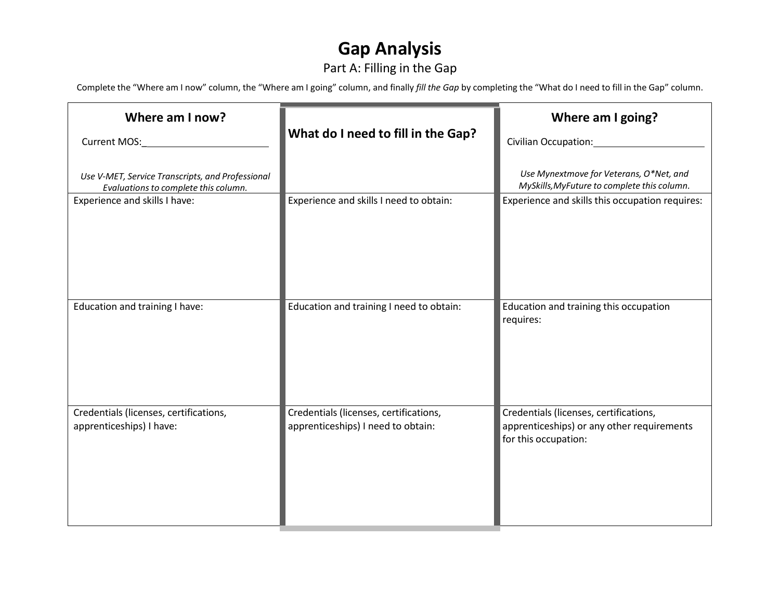# **Gap Analysis**

## Part A: Filling in the Gap

Complete the "Where am I now" column, the "Where am I going" column, and finally *fill the Gap* by completing the "What do I need to fill in the Gap" column.

| Where am I now?                                                                          | What do I need to fill in the Gap?                                           | Where am I going?<br>Civilian Occupation:                                                                    |
|------------------------------------------------------------------------------------------|------------------------------------------------------------------------------|--------------------------------------------------------------------------------------------------------------|
| Use V-MET, Service Transcripts, and Professional<br>Evaluations to complete this column. |                                                                              | Use Mynextmove for Veterans, O*Net, and<br>MySkills, MyFuture to complete this column.                       |
| Experience and skills I have:                                                            | Experience and skills I need to obtain:                                      | Experience and skills this occupation requires:                                                              |
| Education and training I have:                                                           | Education and training I need to obtain:                                     | Education and training this occupation<br>requires:                                                          |
| Credentials (licenses, certifications,<br>apprenticeships) I have:                       | Credentials (licenses, certifications,<br>apprenticeships) I need to obtain: | Credentials (licenses, certifications,<br>apprenticeships) or any other requirements<br>for this occupation: |